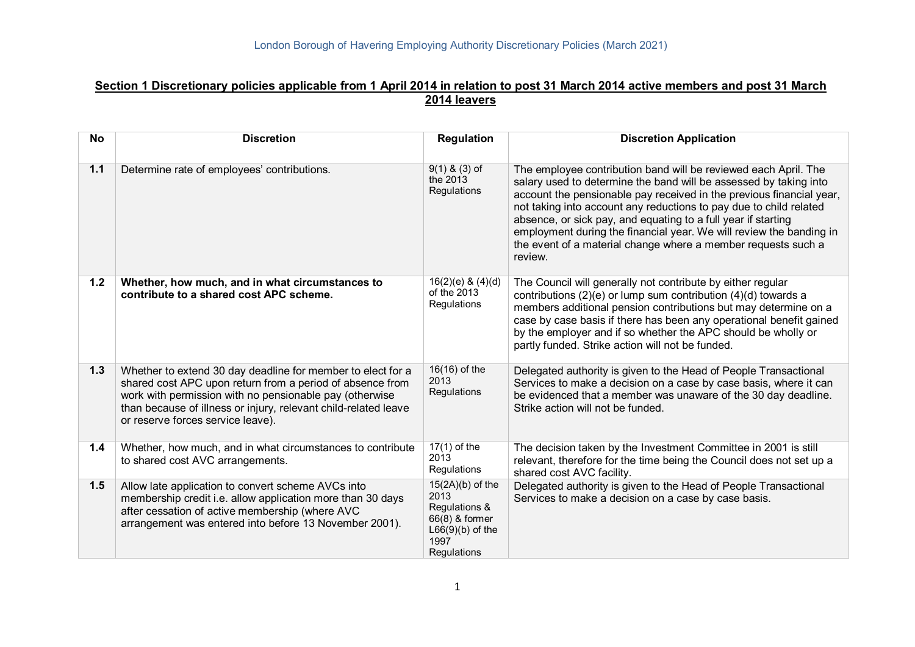#### **Section 1 Discretionary policies applicable from 1 April 2014 in relation to post 31 March 2014 active members and post 31 March 2014 leavers**

| <b>No</b> | <b>Discretion</b>                                                                                                                                                                                                                                                                           | <b>Regulation</b>                                                                                          | <b>Discretion Application</b>                                                                                                                                                                                                                                                                                                                                                                                                                                                                          |
|-----------|---------------------------------------------------------------------------------------------------------------------------------------------------------------------------------------------------------------------------------------------------------------------------------------------|------------------------------------------------------------------------------------------------------------|--------------------------------------------------------------------------------------------------------------------------------------------------------------------------------------------------------------------------------------------------------------------------------------------------------------------------------------------------------------------------------------------------------------------------------------------------------------------------------------------------------|
| 1.1       | Determine rate of employees' contributions.                                                                                                                                                                                                                                                 | $9(1)$ & $(3)$ of<br>the 2013<br>Regulations                                                               | The employee contribution band will be reviewed each April. The<br>salary used to determine the band will be assessed by taking into<br>account the pensionable pay received in the previous financial year,<br>not taking into account any reductions to pay due to child related<br>absence, or sick pay, and equating to a full year if starting<br>employment during the financial year. We will review the banding in<br>the event of a material change where a member requests such a<br>review. |
| 1.2       | Whether, how much, and in what circumstances to<br>contribute to a shared cost APC scheme.                                                                                                                                                                                                  | $16(2)(e)$ & $(4)(d)$<br>of the 2013<br>Regulations                                                        | The Council will generally not contribute by either regular<br>contributions (2)(e) or lump sum contribution $(4)(d)$ towards a<br>members additional pension contributions but may determine on a<br>case by case basis if there has been any operational benefit gained<br>by the employer and if so whether the APC should be wholly or<br>partly funded. Strike action will not be funded.                                                                                                         |
| $1.3$     | Whether to extend 30 day deadline for member to elect for a<br>shared cost APC upon return from a period of absence from<br>work with permission with no pensionable pay (otherwise<br>than because of illness or injury, relevant child-related leave<br>or reserve forces service leave). | 16(16) of the<br>2013<br>Regulations                                                                       | Delegated authority is given to the Head of People Transactional<br>Services to make a decision on a case by case basis, where it can<br>be evidenced that a member was unaware of the 30 day deadline.<br>Strike action will not be funded.                                                                                                                                                                                                                                                           |
| 1.4       | Whether, how much, and in what circumstances to contribute<br>to shared cost AVC arrangements.                                                                                                                                                                                              | $17(1)$ of the<br>2013<br>Regulations                                                                      | The decision taken by the Investment Committee in 2001 is still<br>relevant, therefore for the time being the Council does not set up a<br>shared cost AVC facility.                                                                                                                                                                                                                                                                                                                                   |
| 1.5       | Allow late application to convert scheme AVCs into<br>membership credit i.e. allow application more than 30 days<br>after cessation of active membership (where AVC<br>arrangement was entered into before 13 November 2001).                                                               | $15(2A)(b)$ of the<br>2013<br>Regulations &<br>66(8) & former<br>$L66(9)(b)$ of the<br>1997<br>Regulations | Delegated authority is given to the Head of People Transactional<br>Services to make a decision on a case by case basis.                                                                                                                                                                                                                                                                                                                                                                               |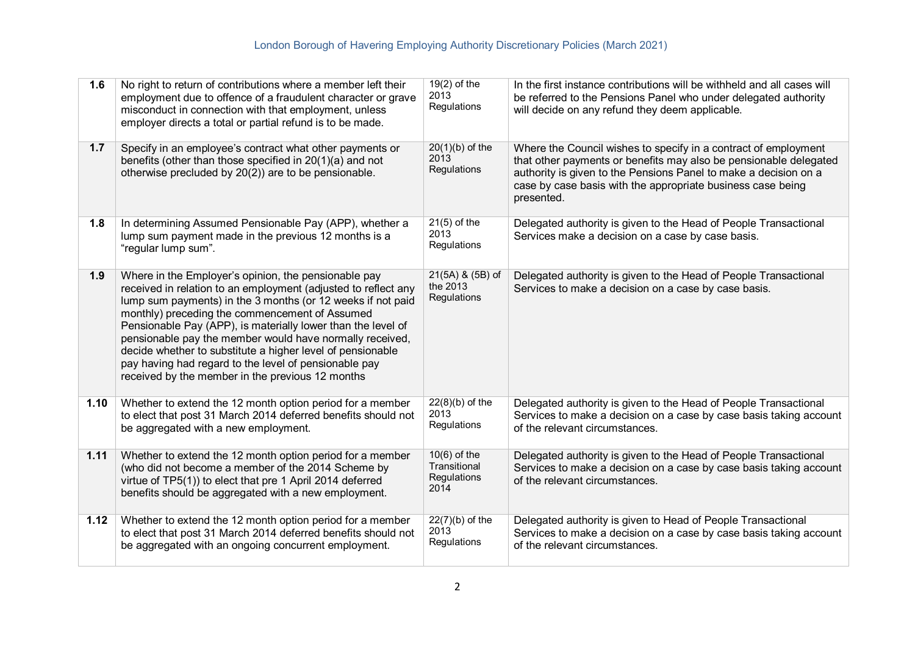| 1.6  | No right to return of contributions where a member left their<br>employment due to offence of a fraudulent character or grave<br>misconduct in connection with that employment, unless<br>employer directs a total or partial refund is to be made.                                                                                                                                                                                                                                                                                            | $19(2)$ of the<br>2013<br>Regulations                 | In the first instance contributions will be withheld and all cases will<br>be referred to the Pensions Panel who under delegated authority<br>will decide on any refund they deem applicable.                                                                                         |
|------|------------------------------------------------------------------------------------------------------------------------------------------------------------------------------------------------------------------------------------------------------------------------------------------------------------------------------------------------------------------------------------------------------------------------------------------------------------------------------------------------------------------------------------------------|-------------------------------------------------------|---------------------------------------------------------------------------------------------------------------------------------------------------------------------------------------------------------------------------------------------------------------------------------------|
| 1.7  | Specify in an employee's contract what other payments or<br>benefits (other than those specified in 20(1)(a) and not<br>otherwise precluded by 20(2)) are to be pensionable.                                                                                                                                                                                                                                                                                                                                                                   | $20(1)(b)$ of the<br>2013<br>Regulations              | Where the Council wishes to specify in a contract of employment<br>that other payments or benefits may also be pensionable delegated<br>authority is given to the Pensions Panel to make a decision on a<br>case by case basis with the appropriate business case being<br>presented. |
| 1.8  | In determining Assumed Pensionable Pay (APP), whether a<br>lump sum payment made in the previous 12 months is a<br>"regular lump sum".                                                                                                                                                                                                                                                                                                                                                                                                         | $21(5)$ of the<br>2013<br>Regulations                 | Delegated authority is given to the Head of People Transactional<br>Services make a decision on a case by case basis.                                                                                                                                                                 |
| 1.9  | Where in the Employer's opinion, the pensionable pay<br>received in relation to an employment (adjusted to reflect any<br>lump sum payments) in the 3 months (or 12 weeks if not paid<br>monthly) preceding the commencement of Assumed<br>Pensionable Pay (APP), is materially lower than the level of<br>pensionable pay the member would have normally received,<br>decide whether to substitute a higher level of pensionable<br>pay having had regard to the level of pensionable pay<br>received by the member in the previous 12 months | 21(5A) & (5B) of<br>the 2013<br>Regulations           | Delegated authority is given to the Head of People Transactional<br>Services to make a decision on a case by case basis.                                                                                                                                                              |
| 1.10 | Whether to extend the 12 month option period for a member<br>to elect that post 31 March 2014 deferred benefits should not<br>be aggregated with a new employment.                                                                                                                                                                                                                                                                                                                                                                             | $22(8)(b)$ of the<br>2013<br>Regulations              | Delegated authority is given to the Head of People Transactional<br>Services to make a decision on a case by case basis taking account<br>of the relevant circumstances.                                                                                                              |
| 1.11 | Whether to extend the 12 month option period for a member<br>(who did not become a member of the 2014 Scheme by<br>virtue of TP5(1)) to elect that pre 1 April 2014 deferred<br>benefits should be aggregated with a new employment.                                                                                                                                                                                                                                                                                                           | $10(6)$ of the<br>Transitional<br>Regulations<br>2014 | Delegated authority is given to the Head of People Transactional<br>Services to make a decision on a case by case basis taking account<br>of the relevant circumstances.                                                                                                              |
| 1.12 | Whether to extend the 12 month option period for a member<br>to elect that post 31 March 2014 deferred benefits should not<br>be aggregated with an ongoing concurrent employment.                                                                                                                                                                                                                                                                                                                                                             | $22(7)(b)$ of the<br>2013<br>Regulations              | Delegated authority is given to Head of People Transactional<br>Services to make a decision on a case by case basis taking account<br>of the relevant circumstances.                                                                                                                  |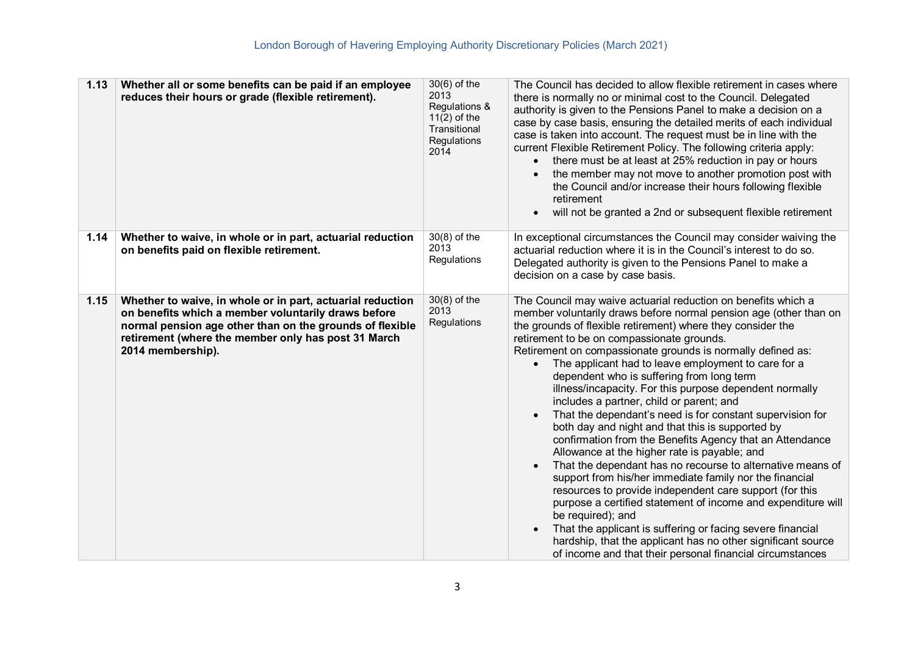| 1.13 | Whether all or some benefits can be paid if an employee<br>reduces their hours or grade (flexible retirement).                                                                                                                                            | $30(6)$ of the<br>2013<br>Regulations &<br>$11(2)$ of the<br>Transitional<br>Regulations<br>2014 | The Council has decided to allow flexible retirement in cases where<br>there is normally no or minimal cost to the Council. Delegated<br>authority is given to the Pensions Panel to make a decision on a<br>case by case basis, ensuring the detailed merits of each individual<br>case is taken into account. The request must be in line with the<br>current Flexible Retirement Policy. The following criteria apply:<br>there must be at least at 25% reduction in pay or hours<br>the member may not move to another promotion post with<br>the Council and/or increase their hours following flexible<br>retirement<br>will not be granted a 2nd or subsequent flexible retirement                                                                                                                                                                                                                                                                                                                                                                                                                                                                                                                                                                         |
|------|-----------------------------------------------------------------------------------------------------------------------------------------------------------------------------------------------------------------------------------------------------------|--------------------------------------------------------------------------------------------------|-------------------------------------------------------------------------------------------------------------------------------------------------------------------------------------------------------------------------------------------------------------------------------------------------------------------------------------------------------------------------------------------------------------------------------------------------------------------------------------------------------------------------------------------------------------------------------------------------------------------------------------------------------------------------------------------------------------------------------------------------------------------------------------------------------------------------------------------------------------------------------------------------------------------------------------------------------------------------------------------------------------------------------------------------------------------------------------------------------------------------------------------------------------------------------------------------------------------------------------------------------------------|
| 1.14 | Whether to waive, in whole or in part, actuarial reduction<br>on benefits paid on flexible retirement.                                                                                                                                                    | $30(8)$ of the<br>2013<br>Regulations                                                            | In exceptional circumstances the Council may consider waiving the<br>actuarial reduction where it is in the Council's interest to do so.<br>Delegated authority is given to the Pensions Panel to make a<br>decision on a case by case basis.                                                                                                                                                                                                                                                                                                                                                                                                                                                                                                                                                                                                                                                                                                                                                                                                                                                                                                                                                                                                                     |
| 1.15 | Whether to waive, in whole or in part, actuarial reduction<br>on benefits which a member voluntarily draws before<br>normal pension age other than on the grounds of flexible<br>retirement (where the member only has post 31 March<br>2014 membership). | $30(8)$ of the<br>2013<br>Regulations                                                            | The Council may waive actuarial reduction on benefits which a<br>member voluntarily draws before normal pension age (other than on<br>the grounds of flexible retirement) where they consider the<br>retirement to be on compassionate grounds.<br>Retirement on compassionate grounds is normally defined as:<br>The applicant had to leave employment to care for a<br>$\bullet$<br>dependent who is suffering from long term<br>illness/incapacity. For this purpose dependent normally<br>includes a partner, child or parent; and<br>That the dependant's need is for constant supervision for<br>$\bullet$<br>both day and night and that this is supported by<br>confirmation from the Benefits Agency that an Attendance<br>Allowance at the higher rate is payable; and<br>That the dependant has no recourse to alternative means of<br>$\bullet$<br>support from his/her immediate family nor the financial<br>resources to provide independent care support (for this<br>purpose a certified statement of income and expenditure will<br>be required); and<br>That the applicant is suffering or facing severe financial<br>hardship, that the applicant has no other significant source<br>of income and that their personal financial circumstances |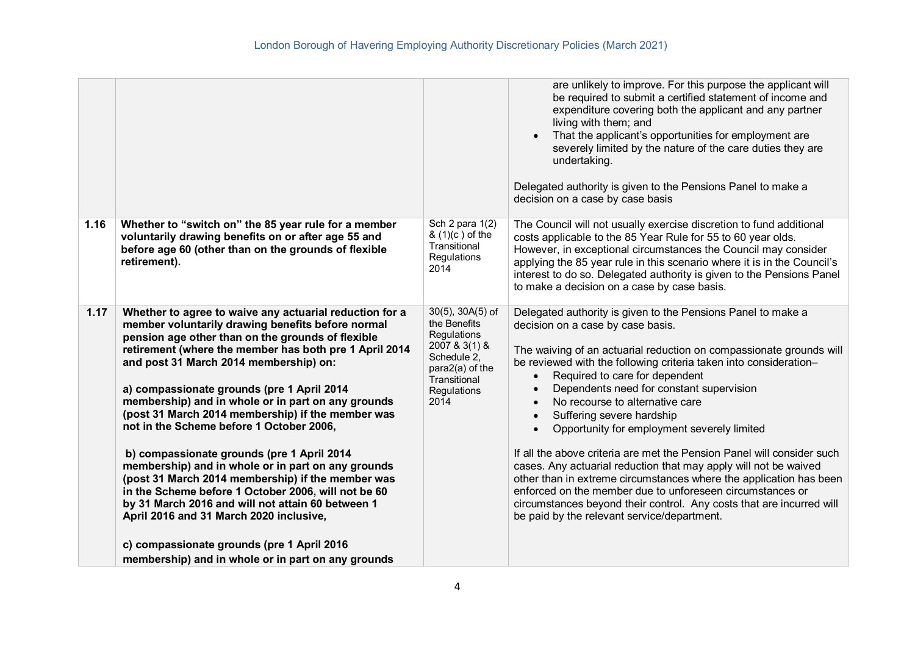|      | London Borough of Havering Employing Authority Discretionary Policies (March 2021)                                                                                                                                                                                                                                                                                                                                                                                                                                                                                                                                                                                                                                                                                                                                                       |                                                                                                                                                |                                                                                                                                                                                                                                                                                                                                                                                                                                                                                                                                                                                                                                                                                                                                                                                                                                                                                           |
|------|------------------------------------------------------------------------------------------------------------------------------------------------------------------------------------------------------------------------------------------------------------------------------------------------------------------------------------------------------------------------------------------------------------------------------------------------------------------------------------------------------------------------------------------------------------------------------------------------------------------------------------------------------------------------------------------------------------------------------------------------------------------------------------------------------------------------------------------|------------------------------------------------------------------------------------------------------------------------------------------------|-------------------------------------------------------------------------------------------------------------------------------------------------------------------------------------------------------------------------------------------------------------------------------------------------------------------------------------------------------------------------------------------------------------------------------------------------------------------------------------------------------------------------------------------------------------------------------------------------------------------------------------------------------------------------------------------------------------------------------------------------------------------------------------------------------------------------------------------------------------------------------------------|
|      |                                                                                                                                                                                                                                                                                                                                                                                                                                                                                                                                                                                                                                                                                                                                                                                                                                          |                                                                                                                                                | are unlikely to improve. For this purpose the applicant will<br>be required to submit a certified statement of income and<br>expenditure covering both the applicant and any partner<br>living with them; and<br>That the applicant's opportunities for employment are<br>$\bullet$<br>severely limited by the nature of the care duties they are<br>undertaking.<br>Delegated authority is given to the Pensions Panel to make a<br>decision on a case by case basis                                                                                                                                                                                                                                                                                                                                                                                                                     |
| 1.16 | Whether to "switch on" the 85 year rule for a member<br>voluntarily drawing benefits on or after age 55 and<br>before age 60 (other than on the grounds of flexible<br>retirement).                                                                                                                                                                                                                                                                                                                                                                                                                                                                                                                                                                                                                                                      | Sch 2 para 1(2)<br>& (1)(c) of the<br>Transitional<br>Regulations<br>2014                                                                      | The Council will not usually exercise discretion to fund additional<br>costs applicable to the 85 Year Rule for 55 to 60 year olds.<br>However, in exceptional circumstances the Council may consider<br>applying the 85 year rule in this scenario where it is in the Council's<br>interest to do so. Delegated authority is given to the Pensions Panel<br>to make a decision on a case by case basis.                                                                                                                                                                                                                                                                                                                                                                                                                                                                                  |
| 1.17 | Whether to agree to waive any actuarial reduction for a<br>member voluntarily drawing benefits before normal<br>pension age other than on the grounds of flexible<br>retirement (where the member has both pre 1 April 2014<br>and post 31 March 2014 membership) on:<br>a) compassionate grounds (pre 1 April 2014<br>membership) and in whole or in part on any grounds<br>(post 31 March 2014 membership) if the member was<br>not in the Scheme before 1 October 2006,<br>b) compassionate grounds (pre 1 April 2014<br>membership) and in whole or in part on any grounds<br>(post 31 March 2014 membership) if the member was<br>in the Scheme before 1 October 2006, will not be 60<br>by 31 March 2016 and will not attain 60 between 1<br>April 2016 and 31 March 2020 inclusive,<br>c) compassionate grounds (pre 1 April 2016 | $30(5)$ , $30A(5)$ of<br>the Benefits<br>Regulations<br>2007 & 3(1) &<br>Schedule 2,<br>para2(a) of the<br>Transitional<br>Regulations<br>2014 | Delegated authority is given to the Pensions Panel to make a<br>decision on a case by case basis.<br>The waiving of an actuarial reduction on compassionate grounds will<br>be reviewed with the following criteria taken into consideration-<br>Required to care for dependent<br>$\bullet$<br>Dependents need for constant supervision<br>$\bullet$<br>No recourse to alternative care<br>Suffering severe hardship<br>$\bullet$<br>Opportunity for employment severely limited<br>If all the above criteria are met the Pension Panel will consider such<br>cases. Any actuarial reduction that may apply will not be waived<br>other than in extreme circumstances where the application has been<br>enforced on the member due to unforeseen circumstances or<br>circumstances beyond their control. Any costs that are incurred will<br>be paid by the relevant service/department. |
|      | membership) and in whole or in part on any grounds                                                                                                                                                                                                                                                                                                                                                                                                                                                                                                                                                                                                                                                                                                                                                                                       |                                                                                                                                                |                                                                                                                                                                                                                                                                                                                                                                                                                                                                                                                                                                                                                                                                                                                                                                                                                                                                                           |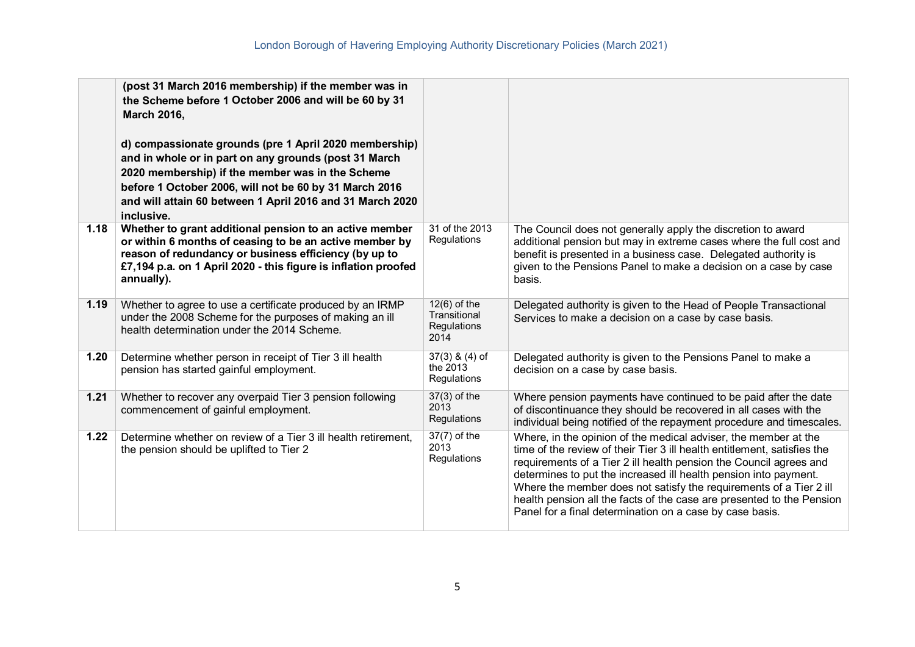|      | (post 31 March 2016 membership) if the member was in<br>the Scheme before 1 October 2006 and will be 60 by 31<br><b>March 2016,</b><br>d) compassionate grounds (pre 1 April 2020 membership)<br>and in whole or in part on any grounds (post 31 March<br>2020 membership) if the member was in the Scheme<br>before 1 October 2006, will not be 60 by 31 March 2016<br>and will attain 60 between 1 April 2016 and 31 March 2020<br>inclusive. |                                                       |                                                                                                                                                                                                                                                                                                                                                                                                                                                                                                  |
|------|-------------------------------------------------------------------------------------------------------------------------------------------------------------------------------------------------------------------------------------------------------------------------------------------------------------------------------------------------------------------------------------------------------------------------------------------------|-------------------------------------------------------|--------------------------------------------------------------------------------------------------------------------------------------------------------------------------------------------------------------------------------------------------------------------------------------------------------------------------------------------------------------------------------------------------------------------------------------------------------------------------------------------------|
| 1.18 | Whether to grant additional pension to an active member<br>or within 6 months of ceasing to be an active member by<br>reason of redundancy or business efficiency (by up to<br>£7,194 p.a. on 1 April 2020 - this figure is inflation proofed<br>annually).                                                                                                                                                                                     | 31 of the 2013<br>Regulations                         | The Council does not generally apply the discretion to award<br>additional pension but may in extreme cases where the full cost and<br>benefit is presented in a business case. Delegated authority is<br>given to the Pensions Panel to make a decision on a case by case<br>basis.                                                                                                                                                                                                             |
| 1.19 | Whether to agree to use a certificate produced by an IRMP<br>under the 2008 Scheme for the purposes of making an ill<br>health determination under the 2014 Scheme.                                                                                                                                                                                                                                                                             | $12(6)$ of the<br>Transitional<br>Regulations<br>2014 | Delegated authority is given to the Head of People Transactional<br>Services to make a decision on a case by case basis.                                                                                                                                                                                                                                                                                                                                                                         |
| 1.20 | Determine whether person in receipt of Tier 3 ill health<br>pension has started gainful employment.                                                                                                                                                                                                                                                                                                                                             | $37(3)$ & $(4)$ of<br>the 2013<br>Regulations         | Delegated authority is given to the Pensions Panel to make a<br>decision on a case by case basis.                                                                                                                                                                                                                                                                                                                                                                                                |
| 1.21 | Whether to recover any overpaid Tier 3 pension following<br>commencement of gainful employment.                                                                                                                                                                                                                                                                                                                                                 | $37(3)$ of the<br>2013<br>Regulations                 | Where pension payments have continued to be paid after the date<br>of discontinuance they should be recovered in all cases with the<br>individual being notified of the repayment procedure and timescales.                                                                                                                                                                                                                                                                                      |
| 1.22 | Determine whether on review of a Tier 3 ill health retirement,<br>the pension should be uplifted to Tier 2                                                                                                                                                                                                                                                                                                                                      | 37(7) of the<br>2013<br>Regulations                   | Where, in the opinion of the medical adviser, the member at the<br>time of the review of their Tier 3 ill health entitlement, satisfies the<br>requirements of a Tier 2 ill health pension the Council agrees and<br>determines to put the increased ill health pension into payment.<br>Where the member does not satisfy the requirements of a Tier 2 ill<br>health pension all the facts of the case are presented to the Pension<br>Panel for a final determination on a case by case basis. |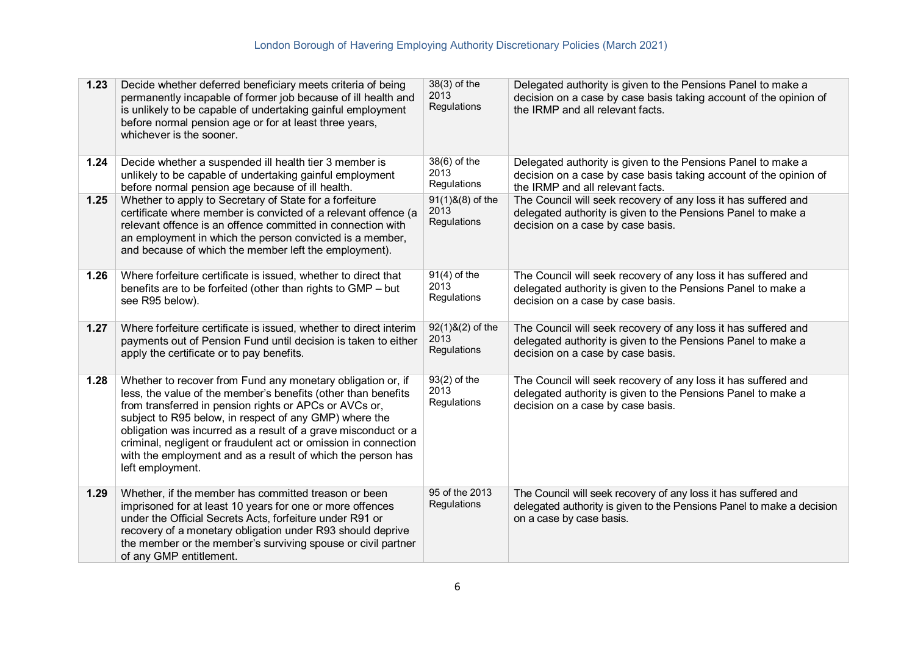| 1.23 | Decide whether deferred beneficiary meets criteria of being<br>permanently incapable of former job because of ill health and<br>is unlikely to be capable of undertaking gainful employment<br>before normal pension age or for at least three years,<br>whichever is the sooner.                                                                                                                                                                                        | 38(3) of the<br>2013<br>Regulations       | Delegated authority is given to the Pensions Panel to make a<br>decision on a case by case basis taking account of the opinion of<br>the IRMP and all relevant facts. |
|------|--------------------------------------------------------------------------------------------------------------------------------------------------------------------------------------------------------------------------------------------------------------------------------------------------------------------------------------------------------------------------------------------------------------------------------------------------------------------------|-------------------------------------------|-----------------------------------------------------------------------------------------------------------------------------------------------------------------------|
| 1.24 | Decide whether a suspended ill health tier 3 member is<br>unlikely to be capable of undertaking gainful employment<br>before normal pension age because of ill health.                                                                                                                                                                                                                                                                                                   | 38(6) of the<br>2013<br>Regulations       | Delegated authority is given to the Pensions Panel to make a<br>decision on a case by case basis taking account of the opinion of<br>the IRMP and all relevant facts. |
| 1.25 | Whether to apply to Secretary of State for a forfeiture<br>certificate where member is convicted of a relevant offence (a<br>relevant offence is an offence committed in connection with<br>an employment in which the person convicted is a member,<br>and because of which the member left the employment).                                                                                                                                                            | $91(1)8(8)$ of the<br>2013<br>Regulations | The Council will seek recovery of any loss it has suffered and<br>delegated authority is given to the Pensions Panel to make a<br>decision on a case by case basis.   |
| 1.26 | Where forfeiture certificate is issued, whether to direct that<br>benefits are to be forfeited (other than rights to GMP - but<br>see R95 below).                                                                                                                                                                                                                                                                                                                        | $91(4)$ of the<br>2013<br>Regulations     | The Council will seek recovery of any loss it has suffered and<br>delegated authority is given to the Pensions Panel to make a<br>decision on a case by case basis.   |
| 1.27 | Where forfeiture certificate is issued, whether to direct interim<br>payments out of Pension Fund until decision is taken to either<br>apply the certificate or to pay benefits.                                                                                                                                                                                                                                                                                         | $92(1)8(2)$ of the<br>2013<br>Regulations | The Council will seek recovery of any loss it has suffered and<br>delegated authority is given to the Pensions Panel to make a<br>decision on a case by case basis.   |
| 1.28 | Whether to recover from Fund any monetary obligation or, if<br>less, the value of the member's benefits (other than benefits<br>from transferred in pension rights or APCs or AVCs or,<br>subject to R95 below, in respect of any GMP) where the<br>obligation was incurred as a result of a grave misconduct or a<br>criminal, negligent or fraudulent act or omission in connection<br>with the employment and as a result of which the person has<br>left employment. | 93(2) of the<br>2013<br>Regulations       | The Council will seek recovery of any loss it has suffered and<br>delegated authority is given to the Pensions Panel to make a<br>decision on a case by case basis.   |
| 1.29 | Whether, if the member has committed treason or been<br>imprisoned for at least 10 years for one or more offences<br>under the Official Secrets Acts, forfeiture under R91 or<br>recovery of a monetary obligation under R93 should deprive<br>the member or the member's surviving spouse or civil partner<br>of any GMP entitlement.                                                                                                                                   | 95 of the 2013<br>Regulations             | The Council will seek recovery of any loss it has suffered and<br>delegated authority is given to the Pensions Panel to make a decision<br>on a case by case basis.   |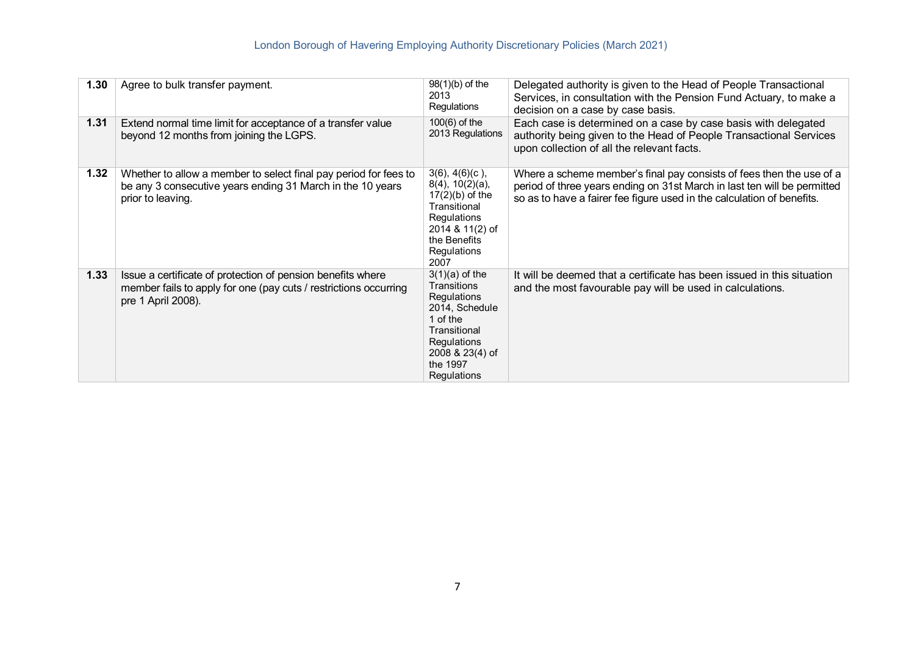| 1.30 | Agree to bulk transfer payment.                                                                                                                       | 98(1)(b) of the<br>2013<br>Regulations                                                                                                                                  | Delegated authority is given to the Head of People Transactional<br>Services, in consultation with the Pension Fund Actuary, to make a<br>decision on a case by case basis.                                                |
|------|-------------------------------------------------------------------------------------------------------------------------------------------------------|-------------------------------------------------------------------------------------------------------------------------------------------------------------------------|----------------------------------------------------------------------------------------------------------------------------------------------------------------------------------------------------------------------------|
| 1.31 | Extend normal time limit for acceptance of a transfer value<br>beyond 12 months from joining the LGPS.                                                | $100(6)$ of the<br>2013 Regulations                                                                                                                                     | Each case is determined on a case by case basis with delegated<br>authority being given to the Head of People Transactional Services<br>upon collection of all the relevant facts.                                         |
| 1.32 | Whether to allow a member to select final pay period for fees to<br>be any 3 consecutive years ending 31 March in the 10 years<br>prior to leaving.   | $3(6)$ , $4(6)(c)$ ,<br>$8(4)$ , $10(2)(a)$ ,<br>$17(2)(b)$ of the<br>Transitional<br>Regulations<br>2014 & 11(2) of<br>the Benefits<br>Regulations<br>2007             | Where a scheme member's final pay consists of fees then the use of a<br>period of three years ending on 31st March in last ten will be permitted<br>so as to have a fairer fee figure used in the calculation of benefits. |
| 1.33 | Issue a certificate of protection of pension benefits where<br>member fails to apply for one (pay cuts / restrictions occurring<br>pre 1 April 2008). | $3(1)(a)$ of the<br><b>Transitions</b><br><b>Requlations</b><br>2014, Schedule<br>1 of the<br>Transitional<br>Regulations<br>2008 & 23(4) of<br>the 1997<br>Regulations | It will be deemed that a certificate has been issued in this situation<br>and the most favourable pay will be used in calculations.                                                                                        |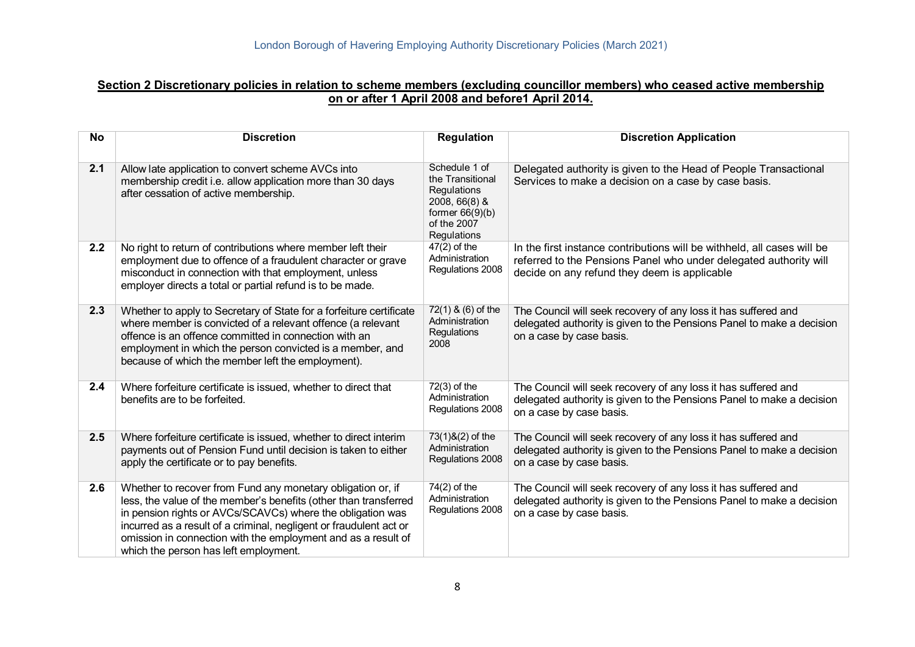### **Section 2 Discretionary policies in relation to scheme members (excluding councillor members) who ceased active membership on or after 1 April 2008 and before1 April 2014.**

| <b>No</b> | <b>Discretion</b>                                                                                                                                                                                                                                                                                                                                                             | <b>Regulation</b>                                                                                                    | <b>Discretion Application</b>                                                                                                                                                                |
|-----------|-------------------------------------------------------------------------------------------------------------------------------------------------------------------------------------------------------------------------------------------------------------------------------------------------------------------------------------------------------------------------------|----------------------------------------------------------------------------------------------------------------------|----------------------------------------------------------------------------------------------------------------------------------------------------------------------------------------------|
| 2.1       | Allow late application to convert scheme AVCs into<br>membership credit i.e. allow application more than 30 days<br>after cessation of active membership.                                                                                                                                                                                                                     | Schedule 1 of<br>the Transitional<br>Regulations<br>2008, 66(8) &<br>former $66(9)(b)$<br>of the 2007<br>Regulations | Delegated authority is given to the Head of People Transactional<br>Services to make a decision on a case by case basis.                                                                     |
| 2.2       | No right to return of contributions where member left their<br>employment due to offence of a fraudulent character or grave<br>misconduct in connection with that employment, unless<br>employer directs a total or partial refund is to be made.                                                                                                                             | $47(2)$ of the<br>Administration<br>Regulations 2008                                                                 | In the first instance contributions will be withheld, all cases will be<br>referred to the Pensions Panel who under delegated authority will<br>decide on any refund they deem is applicable |
| 2.3       | Whether to apply to Secretary of State for a forfeiture certificate<br>where member is convicted of a relevant offence (a relevant<br>offence is an offence committed in connection with an<br>employment in which the person convicted is a member, and<br>because of which the member left the employment).                                                                 | 72(1) & (6) of the<br>Administration<br>Regulations<br>2008                                                          | The Council will seek recovery of any loss it has suffered and<br>delegated authority is given to the Pensions Panel to make a decision<br>on a case by case basis.                          |
| 2.4       | Where forfeiture certificate is issued, whether to direct that<br>benefits are to be forfeited.                                                                                                                                                                                                                                                                               | $72(3)$ of the<br>Administration<br>Regulations 2008                                                                 | The Council will seek recovery of any loss it has suffered and<br>delegated authority is given to the Pensions Panel to make a decision<br>on a case by case basis.                          |
| 2.5       | Where forfeiture certificate is issued, whether to direct interim<br>payments out of Pension Fund until decision is taken to either<br>apply the certificate or to pay benefits.                                                                                                                                                                                              | 73(1)&(2) of the<br>Administration<br>Regulations 2008                                                               | The Council will seek recovery of any loss it has suffered and<br>delegated authority is given to the Pensions Panel to make a decision<br>on a case by case basis.                          |
| 2.6       | Whether to recover from Fund any monetary obligation or, if<br>less, the value of the member's benefits (other than transferred<br>in pension rights or AVCs/SCAVCs) where the obligation was<br>incurred as a result of a criminal, negligent or fraudulent act or<br>omission in connection with the employment and as a result of<br>which the person has left employment. | 74(2) of the<br>Administration<br>Regulations 2008                                                                   | The Council will seek recovery of any loss it has suffered and<br>delegated authority is given to the Pensions Panel to make a decision<br>on a case by case basis.                          |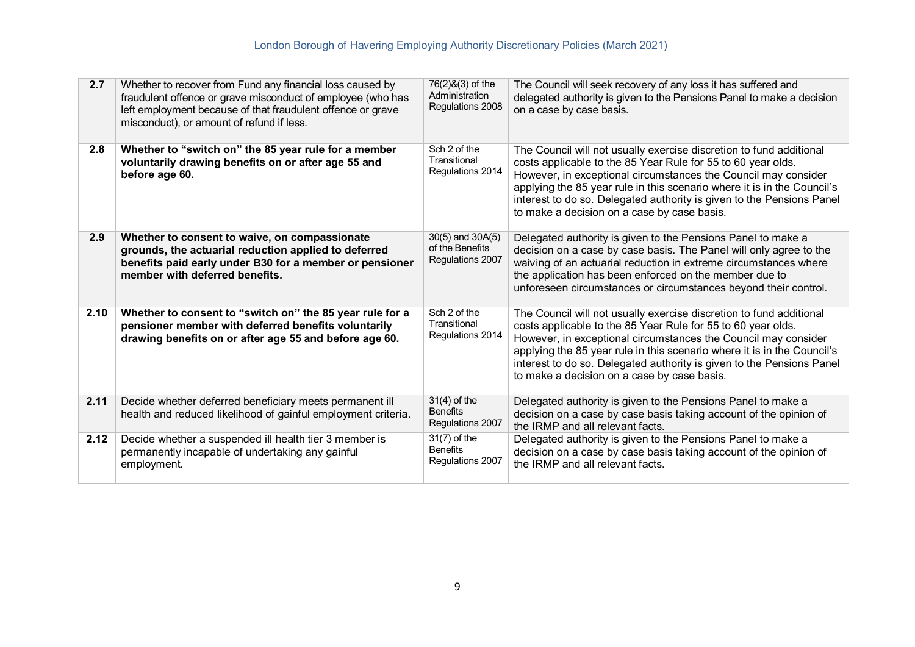| 2.7  | Whether to recover from Fund any financial loss caused by<br>fraudulent offence or grave misconduct of employee (who has<br>left employment because of that fraudulent offence or grave<br>misconduct), or amount of refund if less. | 76(2)&(3) of the<br>Administration<br>Regulations 2008  | The Council will seek recovery of any loss it has suffered and<br>delegated authority is given to the Pensions Panel to make a decision<br>on a case by case basis.                                                                                                                                                                                                                                      |
|------|--------------------------------------------------------------------------------------------------------------------------------------------------------------------------------------------------------------------------------------|---------------------------------------------------------|----------------------------------------------------------------------------------------------------------------------------------------------------------------------------------------------------------------------------------------------------------------------------------------------------------------------------------------------------------------------------------------------------------|
| 2.8  | Whether to "switch on" the 85 year rule for a member<br>voluntarily drawing benefits on or after age 55 and<br>before age 60.                                                                                                        | Sch 2 of the<br>Transitional<br>Regulations 2014        | The Council will not usually exercise discretion to fund additional<br>costs applicable to the 85 Year Rule for 55 to 60 year olds.<br>However, in exceptional circumstances the Council may consider<br>applying the 85 year rule in this scenario where it is in the Council's<br>interest to do so. Delegated authority is given to the Pensions Panel<br>to make a decision on a case by case basis. |
| 2.9  | Whether to consent to waive, on compassionate<br>grounds, the actuarial reduction applied to deferred<br>benefits paid early under B30 for a member or pensioner<br>member with deferred benefits.                                   | 30(5) and 30A(5)<br>of the Benefits<br>Regulations 2007 | Delegated authority is given to the Pensions Panel to make a<br>decision on a case by case basis. The Panel will only agree to the<br>waiving of an actuarial reduction in extreme circumstances where<br>the application has been enforced on the member due to<br>unforeseen circumstances or circumstances beyond their control.                                                                      |
| 2.10 | Whether to consent to "switch on" the 85 year rule for a<br>pensioner member with deferred benefits voluntarily<br>drawing benefits on or after age 55 and before age 60.                                                            | Sch 2 of the<br>Transitional<br>Regulations 2014        | The Council will not usually exercise discretion to fund additional<br>costs applicable to the 85 Year Rule for 55 to 60 year olds.<br>However, in exceptional circumstances the Council may consider<br>applying the 85 year rule in this scenario where it is in the Council's<br>interest to do so. Delegated authority is given to the Pensions Panel<br>to make a decision on a case by case basis. |
| 2.11 | Decide whether deferred beneficiary meets permanent ill<br>health and reduced likelihood of gainful employment criteria.                                                                                                             | $31(4)$ of the<br><b>Benefits</b><br>Regulations 2007   | Delegated authority is given to the Pensions Panel to make a<br>decision on a case by case basis taking account of the opinion of<br>the IRMP and all relevant facts.                                                                                                                                                                                                                                    |
| 2.12 | Decide whether a suspended ill health tier 3 member is<br>permanently incapable of undertaking any gainful<br>employment.                                                                                                            | $31(7)$ of the<br><b>Benefits</b><br>Regulations 2007   | Delegated authority is given to the Pensions Panel to make a<br>decision on a case by case basis taking account of the opinion of<br>the IRMP and all relevant facts.                                                                                                                                                                                                                                    |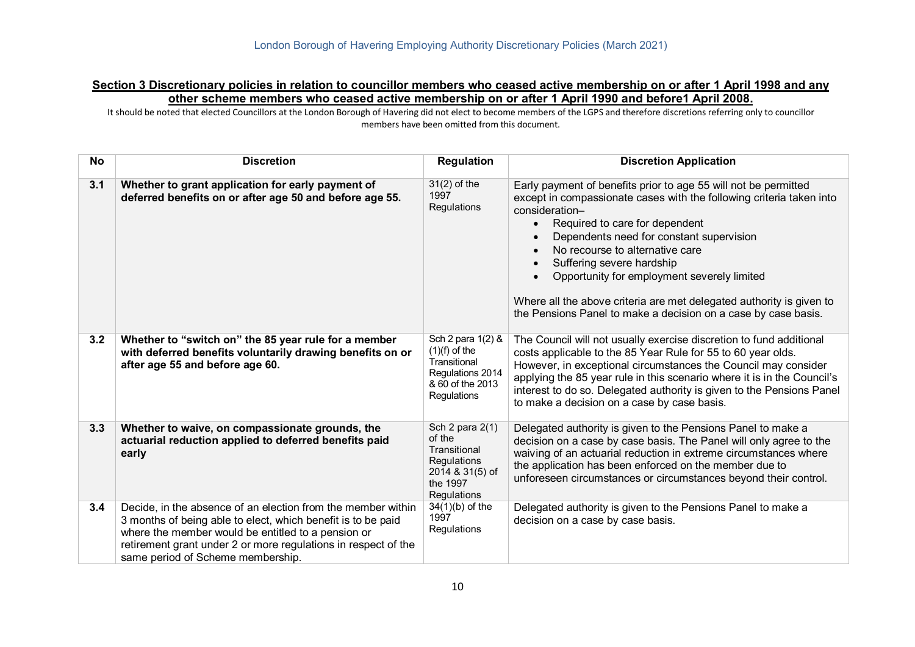#### **Section 3 Discretionary policies in relation to councillor members who ceased active membership on or after 1 April 1998 and any other scheme members who ceased active membership on or after 1 April 1990 and before1 April 2008.**

 It should be noted that elected Councillors at the London Borough of Havering did not elect to become members of the LGPS and therefore discretions referring only to councillor members have been omitted from this document.

| <b>No</b> | <b>Discretion</b>                                                                                                                                                                                                                                                                         | <b>Regulation</b>                                                                                           | <b>Discretion Application</b>                                                                                                                                                                                                                                                                                                                                                                                                                                                                                                           |
|-----------|-------------------------------------------------------------------------------------------------------------------------------------------------------------------------------------------------------------------------------------------------------------------------------------------|-------------------------------------------------------------------------------------------------------------|-----------------------------------------------------------------------------------------------------------------------------------------------------------------------------------------------------------------------------------------------------------------------------------------------------------------------------------------------------------------------------------------------------------------------------------------------------------------------------------------------------------------------------------------|
| 3.1       | Whether to grant application for early payment of<br>deferred benefits on or after age 50 and before age 55.                                                                                                                                                                              | $31(2)$ of the<br>1997<br>Regulations                                                                       | Early payment of benefits prior to age 55 will not be permitted<br>except in compassionate cases with the following criteria taken into<br>consideration-<br>Required to care for dependent<br>$\bullet$<br>Dependents need for constant supervision<br>No recourse to alternative care<br>$\bullet$<br>Suffering severe hardship<br>Opportunity for employment severely limited<br>$\bullet$<br>Where all the above criteria are met delegated authority is given to<br>the Pensions Panel to make a decision on a case by case basis. |
| 3.2       | Whether to "switch on" the 85 year rule for a member<br>with deferred benefits voluntarily drawing benefits on or<br>after age 55 and before age 60.                                                                                                                                      | Sch 2 para 1(2) &<br>$(1)(f)$ of the<br>Transitional<br>Regulations 2014<br>& 60 of the 2013<br>Regulations | The Council will not usually exercise discretion to fund additional<br>costs applicable to the 85 Year Rule for 55 to 60 year olds.<br>However, in exceptional circumstances the Council may consider<br>applying the 85 year rule in this scenario where it is in the Council's<br>interest to do so. Delegated authority is given to the Pensions Panel<br>to make a decision on a case by case basis.                                                                                                                                |
| 3.3       | Whether to waive, on compassionate grounds, the<br>actuarial reduction applied to deferred benefits paid<br>early                                                                                                                                                                         | Sch 2 para 2(1)<br>of the<br>Transitional<br>Regulations<br>2014 & 31(5) of<br>the 1997<br>Regulations      | Delegated authority is given to the Pensions Panel to make a<br>decision on a case by case basis. The Panel will only agree to the<br>waiving of an actuarial reduction in extreme circumstances where<br>the application has been enforced on the member due to<br>unforeseen circumstances or circumstances beyond their control.                                                                                                                                                                                                     |
| 3.4       | Decide, in the absence of an election from the member within<br>3 months of being able to elect, which benefit is to be paid<br>where the member would be entitled to a pension or<br>retirement grant under 2 or more regulations in respect of the<br>same period of Scheme membership. | $34(1)(b)$ of the<br>1997<br>Regulations                                                                    | Delegated authority is given to the Pensions Panel to make a<br>decision on a case by case basis.                                                                                                                                                                                                                                                                                                                                                                                                                                       |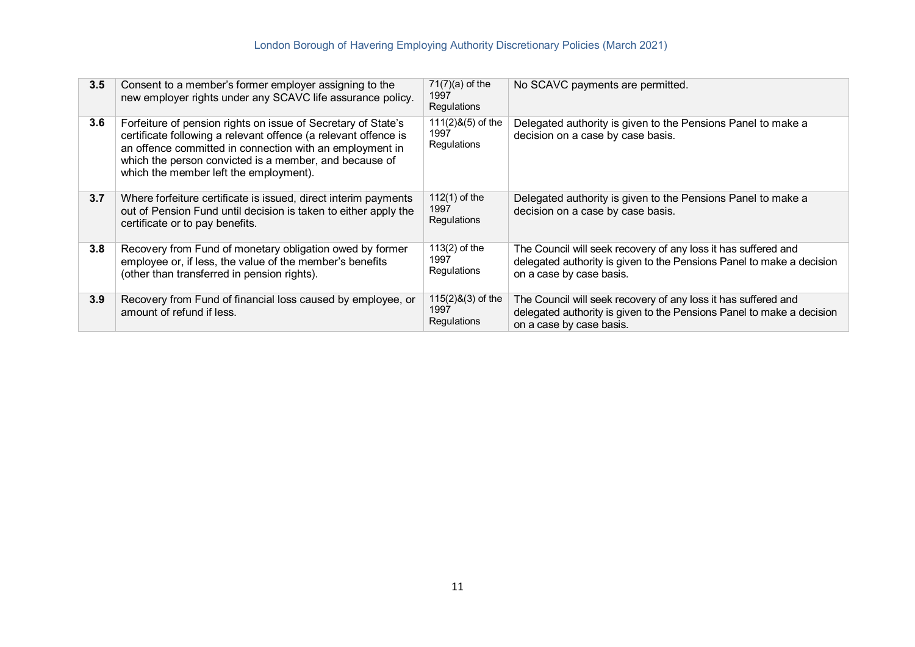| 3.5 | Consent to a member's former employer assigning to the<br>new employer rights under any SCAVC life assurance policy.                                                                                                                                                                             | $71(7)(a)$ of the<br>1997<br><b>Regulations</b> | No SCAVC payments are permitted.                                                                                                                                    |
|-----|--------------------------------------------------------------------------------------------------------------------------------------------------------------------------------------------------------------------------------------------------------------------------------------------------|-------------------------------------------------|---------------------------------------------------------------------------------------------------------------------------------------------------------------------|
| 3.6 | Forfeiture of pension rights on issue of Secretary of State's<br>certificate following a relevant offence (a relevant offence is<br>an offence committed in connection with an employment in<br>which the person convicted is a member, and because of<br>which the member left the employment). | $111(2)$ &(5) of the<br>1997<br>Regulations     | Delegated authority is given to the Pensions Panel to make a<br>decision on a case by case basis.                                                                   |
| 3.7 | Where forfeiture certificate is issued, direct interim payments<br>out of Pension Fund until decision is taken to either apply the<br>certificate or to pay benefits.                                                                                                                            | $112(1)$ of the<br>1997<br>Regulations          | Delegated authority is given to the Pensions Panel to make a<br>decision on a case by case basis.                                                                   |
| 3.8 | Recovery from Fund of monetary obligation owed by former<br>employee or, if less, the value of the member's benefits<br>(other than transferred in pension rights).                                                                                                                              | $113(2)$ of the<br>1997<br>Regulations          | The Council will seek recovery of any loss it has suffered and<br>delegated authority is given to the Pensions Panel to make a decision<br>on a case by case basis. |
| 3.9 | Recovery from Fund of financial loss caused by employee, or<br>amount of refund if less.                                                                                                                                                                                                         | $115(2)8(3)$ of the<br>1997<br>Regulations      | The Council will seek recovery of any loss it has suffered and<br>delegated authority is given to the Pensions Panel to make a decision<br>on a case by case basis. |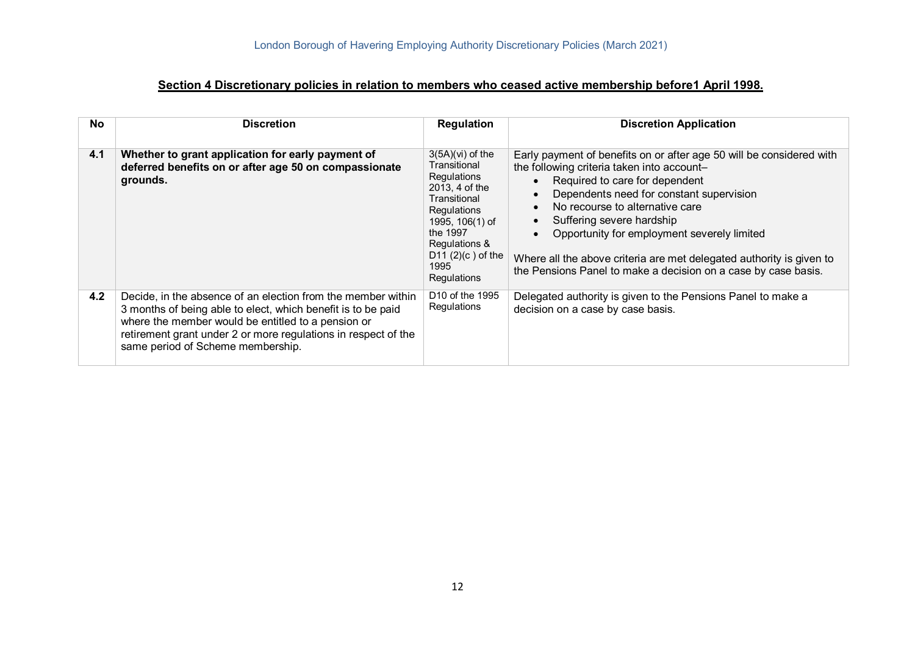### **Section 4 Discretionary policies in relation to members who ceased active membership before1 April 1998.**

| <b>No</b> | <b>Discretion</b>                                                                                                                                                                                                                                                                         | <b>Regulation</b>                                                                                                                                                                                       | <b>Discretion Application</b>                                                                                                                                                                                                                                                                                                                                                                                                                             |
|-----------|-------------------------------------------------------------------------------------------------------------------------------------------------------------------------------------------------------------------------------------------------------------------------------------------|---------------------------------------------------------------------------------------------------------------------------------------------------------------------------------------------------------|-----------------------------------------------------------------------------------------------------------------------------------------------------------------------------------------------------------------------------------------------------------------------------------------------------------------------------------------------------------------------------------------------------------------------------------------------------------|
| 4.1       | Whether to grant application for early payment of<br>deferred benefits on or after age 50 on compassionate<br>grounds.                                                                                                                                                                    | $3(5A)(vi)$ of the<br>Transitional<br>Regulations<br>2013, 4 of the<br>Transitional<br><b>Regulations</b><br>1995, 106(1) of<br>the 1997<br>Regulations &<br>D11 $(2)(c)$ of the<br>1995<br>Regulations | Early payment of benefits on or after age 50 will be considered with<br>the following criteria taken into account-<br>Required to care for dependent<br>Dependents need for constant supervision<br>No recourse to alternative care<br>Suffering severe hardship<br>Opportunity for employment severely limited<br>Where all the above criteria are met delegated authority is given to<br>the Pensions Panel to make a decision on a case by case basis. |
| 4.2       | Decide, in the absence of an election from the member within<br>3 months of being able to elect, which benefit is to be paid<br>where the member would be entitled to a pension or<br>retirement grant under 2 or more regulations in respect of the<br>same period of Scheme membership. | D <sub>10</sub> of the 1995<br>Regulations                                                                                                                                                              | Delegated authority is given to the Pensions Panel to make a<br>decision on a case by case basis.                                                                                                                                                                                                                                                                                                                                                         |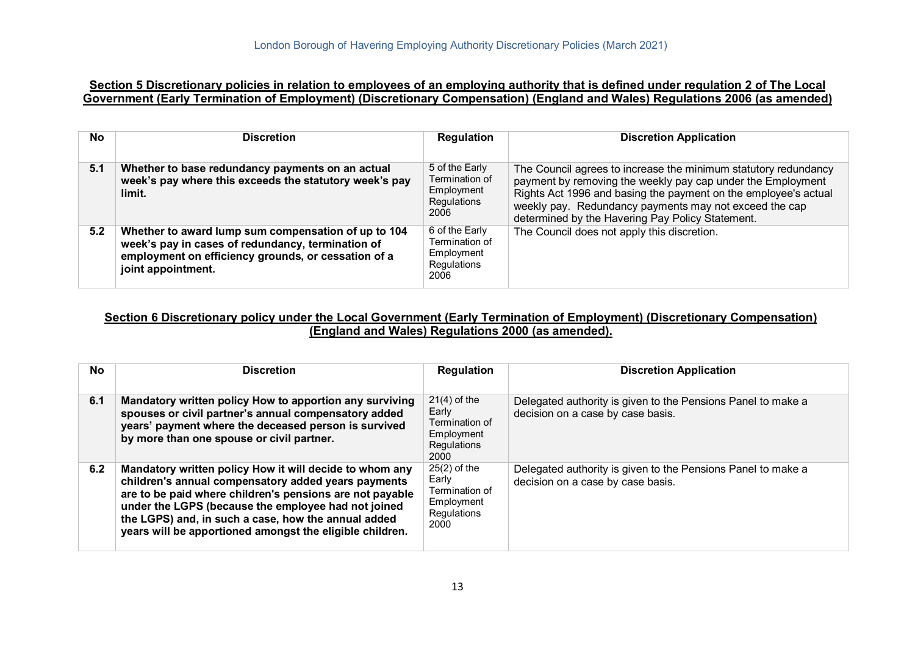### **Section 5 Discretionary policies in relation to employees of an employing authority that is defined under regulation 2 of The Local Government (Early Termination of Employment) (Discretionary Compensation) (England and Wales) Regulations 2006 (as amended)**

| <b>No</b> | <b>Discretion</b>                                                                                                                                                                     | Regulation                                                            | <b>Discretion Application</b>                                                                                                                                                                                                                                                                                   |
|-----------|---------------------------------------------------------------------------------------------------------------------------------------------------------------------------------------|-----------------------------------------------------------------------|-----------------------------------------------------------------------------------------------------------------------------------------------------------------------------------------------------------------------------------------------------------------------------------------------------------------|
| 5.1       | Whether to base redundancy payments on an actual<br>week's pay where this exceeds the statutory week's pay<br>limit.                                                                  | 5 of the Early<br>Termination of<br>Employment<br>Regulations<br>2006 | The Council agrees to increase the minimum statutory redundancy<br>payment by removing the weekly pay cap under the Employment<br>Rights Act 1996 and basing the payment on the employee's actual<br>weekly pay. Redundancy payments may not exceed the cap<br>determined by the Havering Pay Policy Statement. |
| 5.2       | Whether to award lump sum compensation of up to 104<br>week's pay in cases of redundancy, termination of<br>employment on efficiency grounds, or cessation of a<br>joint appointment. | 6 of the Early<br>Termination of<br>Employment<br>Regulations<br>2006 | The Council does not apply this discretion.                                                                                                                                                                                                                                                                     |

#### **Section 6 Discretionary policy under the Local Government (Early Termination of Employment) (Discretionary Compensation) (England and Wales) Regulations 2000 (as amended).**

| No. | <b>Discretion</b>                                                                                                                                                                                                                                                                                                                                    | <b>Regulation</b>                                                              | <b>Discretion Application</b>                                                                     |
|-----|------------------------------------------------------------------------------------------------------------------------------------------------------------------------------------------------------------------------------------------------------------------------------------------------------------------------------------------------------|--------------------------------------------------------------------------------|---------------------------------------------------------------------------------------------------|
| 6.1 | Mandatory written policy How to apportion any surviving<br>spouses or civil partner's annual compensatory added<br>years' payment where the deceased person is survived<br>by more than one spouse or civil partner.                                                                                                                                 | $21(4)$ of the<br>Early<br>Termination of<br>Employment<br>Regulations<br>2000 | Delegated authority is given to the Pensions Panel to make a<br>decision on a case by case basis. |
| 6.2 | Mandatory written policy How it will decide to whom any<br>children's annual compensatory added years payments<br>are to be paid where children's pensions are not payable<br>under the LGPS (because the employee had not joined<br>the LGPS) and, in such a case, how the annual added<br>years will be apportioned amongst the eligible children. | $25(2)$ of the<br>Early<br>Termination of<br>Employment<br>Regulations<br>2000 | Delegated authority is given to the Pensions Panel to make a<br>decision on a case by case basis. |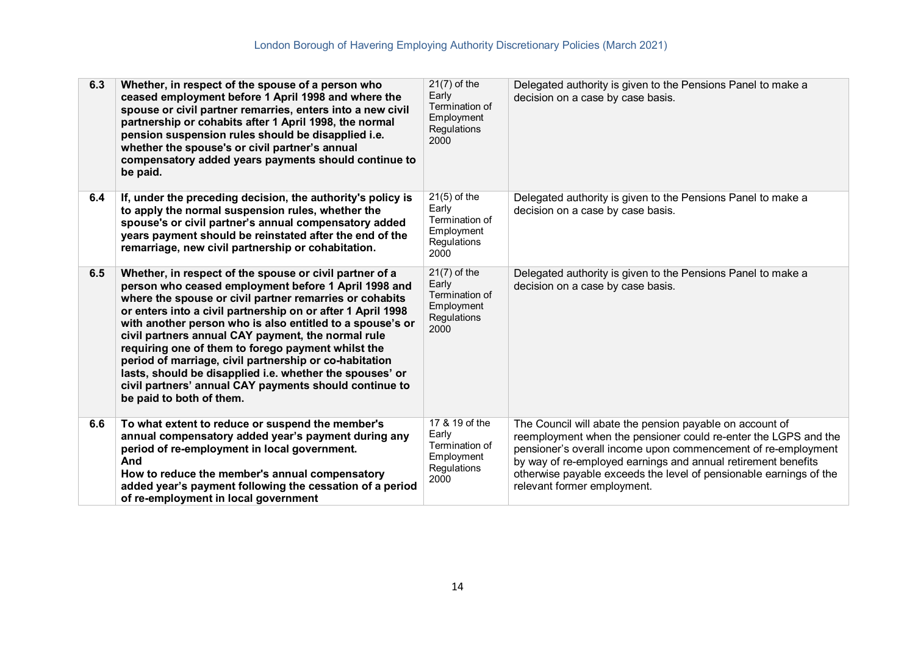| 6.3 | Whether, in respect of the spouse of a person who<br>ceased employment before 1 April 1998 and where the<br>spouse or civil partner remarries, enters into a new civil<br>partnership or cohabits after 1 April 1998, the normal<br>pension suspension rules should be disapplied i.e.<br>whether the spouse's or civil partner's annual<br>compensatory added years payments should continue to<br>be paid.                                                                                                                                                                                                                   | $21(7)$ of the<br>Early<br>Termination of<br>Employment<br>Regulations<br>2000 | Delegated authority is given to the Pensions Panel to make a<br>decision on a case by case basis.                                                                                                                                                                                                                                                                  |
|-----|--------------------------------------------------------------------------------------------------------------------------------------------------------------------------------------------------------------------------------------------------------------------------------------------------------------------------------------------------------------------------------------------------------------------------------------------------------------------------------------------------------------------------------------------------------------------------------------------------------------------------------|--------------------------------------------------------------------------------|--------------------------------------------------------------------------------------------------------------------------------------------------------------------------------------------------------------------------------------------------------------------------------------------------------------------------------------------------------------------|
| 6.4 | If, under the preceding decision, the authority's policy is<br>to apply the normal suspension rules, whether the<br>spouse's or civil partner's annual compensatory added<br>years payment should be reinstated after the end of the<br>remarriage, new civil partnership or cohabitation.                                                                                                                                                                                                                                                                                                                                     | $21(5)$ of the<br>Early<br>Termination of<br>Employment<br>Regulations<br>2000 | Delegated authority is given to the Pensions Panel to make a<br>decision on a case by case basis.                                                                                                                                                                                                                                                                  |
| 6.5 | Whether, in respect of the spouse or civil partner of a<br>person who ceased employment before 1 April 1998 and<br>where the spouse or civil partner remarries or cohabits<br>or enters into a civil partnership on or after 1 April 1998<br>with another person who is also entitled to a spouse's or<br>civil partners annual CAY payment, the normal rule<br>requiring one of them to forego payment whilst the<br>period of marriage, civil partnership or co-habitation<br>lasts, should be disapplied i.e. whether the spouses' or<br>civil partners' annual CAY payments should continue to<br>be paid to both of them. | $21(7)$ of the<br>Early<br>Termination of<br>Employment<br>Regulations<br>2000 | Delegated authority is given to the Pensions Panel to make a<br>decision on a case by case basis.                                                                                                                                                                                                                                                                  |
| 6.6 | To what extent to reduce or suspend the member's<br>annual compensatory added year's payment during any<br>period of re-employment in local government.<br>And<br>How to reduce the member's annual compensatory<br>added year's payment following the cessation of a period<br>of re-employment in local government                                                                                                                                                                                                                                                                                                           | 17 & 19 of the<br>Early<br>Termination of<br>Employment<br>Regulations<br>2000 | The Council will abate the pension payable on account of<br>reemployment when the pensioner could re-enter the LGPS and the<br>pensioner's overall income upon commencement of re-employment<br>by way of re-employed earnings and annual retirement benefits<br>otherwise payable exceeds the level of pensionable earnings of the<br>relevant former employment. |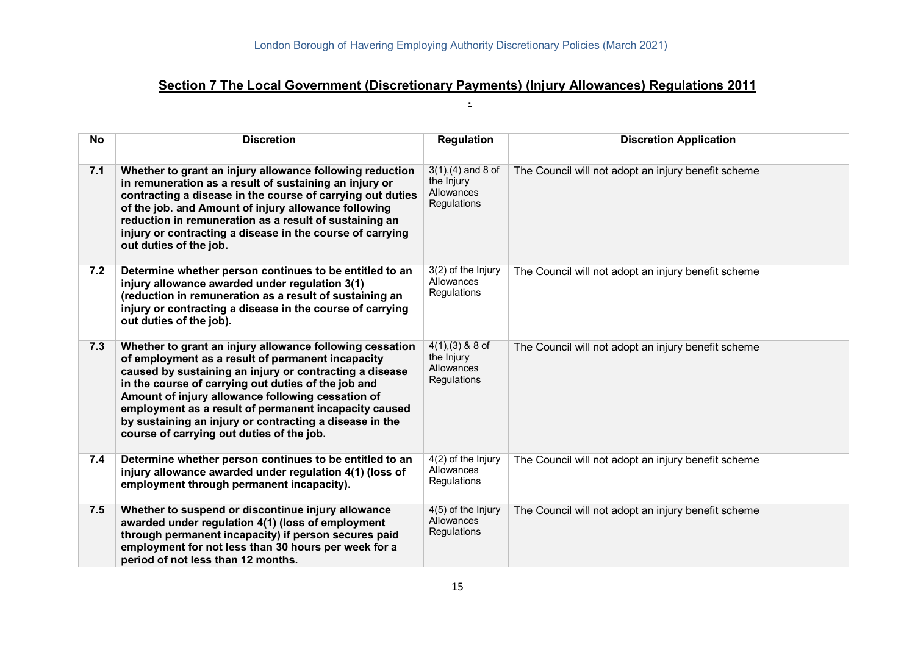# **Section 7 The Local Government (Discretionary Payments) (Injury Allowances) Regulations 2011**

**.** 

| <b>No</b> | <b>Discretion</b>                                                                                                                                                                                                                                                                                                                                                                                                                                     | <b>Regulation</b>                                                | <b>Discretion Application</b>                       |
|-----------|-------------------------------------------------------------------------------------------------------------------------------------------------------------------------------------------------------------------------------------------------------------------------------------------------------------------------------------------------------------------------------------------------------------------------------------------------------|------------------------------------------------------------------|-----------------------------------------------------|
| 7.1       | Whether to grant an injury allowance following reduction<br>in remuneration as a result of sustaining an injury or<br>contracting a disease in the course of carrying out duties<br>of the job. and Amount of injury allowance following<br>reduction in remuneration as a result of sustaining an<br>injury or contracting a disease in the course of carrying<br>out duties of the job.                                                             | $3(1)$ , (4) and 8 of<br>the Injury<br>Allowances<br>Regulations | The Council will not adopt an injury benefit scheme |
| 7.2       | Determine whether person continues to be entitled to an<br>injury allowance awarded under regulation 3(1)<br>(reduction in remuneration as a result of sustaining an<br>injury or contracting a disease in the course of carrying<br>out duties of the job).                                                                                                                                                                                          | 3(2) of the Injury<br>Allowances<br>Regulations                  | The Council will not adopt an injury benefit scheme |
| 7.3       | Whether to grant an injury allowance following cessation<br>of employment as a result of permanent incapacity<br>caused by sustaining an injury or contracting a disease<br>in the course of carrying out duties of the job and<br>Amount of injury allowance following cessation of<br>employment as a result of permanent incapacity caused<br>by sustaining an injury or contracting a disease in the<br>course of carrying out duties of the job. | $4(1),(3)$ & 8 of<br>the Injury<br>Allowances<br>Regulations     | The Council will not adopt an injury benefit scheme |
| 7.4       | Determine whether person continues to be entitled to an<br>injury allowance awarded under regulation 4(1) (loss of<br>employment through permanent incapacity).                                                                                                                                                                                                                                                                                       | $4(2)$ of the Injury<br>Allowances<br>Regulations                | The Council will not adopt an injury benefit scheme |
| 7.5       | Whether to suspend or discontinue injury allowance<br>awarded under regulation 4(1) (loss of employment<br>through permanent incapacity) if person secures paid<br>employment for not less than 30 hours per week for a<br>period of not less than 12 months.                                                                                                                                                                                         | 4(5) of the Injury<br>Allowances<br>Regulations                  | The Council will not adopt an injury benefit scheme |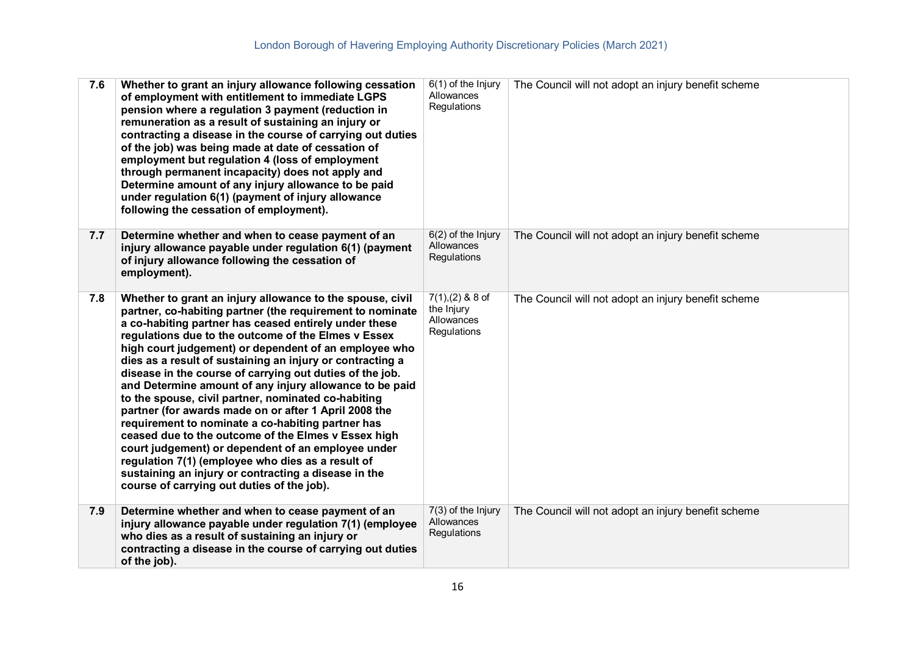| 7.6 | Whether to grant an injury allowance following cessation<br>of employment with entitlement to immediate LGPS<br>pension where a regulation 3 payment (reduction in<br>remuneration as a result of sustaining an injury or<br>contracting a disease in the course of carrying out duties<br>of the job) was being made at date of cessation of<br>employment but regulation 4 (loss of employment<br>through permanent incapacity) does not apply and<br>Determine amount of any injury allowance to be paid<br>under regulation 6(1) (payment of injury allowance<br>following the cessation of employment).                                                                                                                                                                                                                                                                                                                     | $6(1)$ of the Injury<br>Allowances<br>Regulations            | The Council will not adopt an injury benefit scheme |
|-----|----------------------------------------------------------------------------------------------------------------------------------------------------------------------------------------------------------------------------------------------------------------------------------------------------------------------------------------------------------------------------------------------------------------------------------------------------------------------------------------------------------------------------------------------------------------------------------------------------------------------------------------------------------------------------------------------------------------------------------------------------------------------------------------------------------------------------------------------------------------------------------------------------------------------------------|--------------------------------------------------------------|-----------------------------------------------------|
| 7.7 | Determine whether and when to cease payment of an<br>injury allowance payable under regulation 6(1) (payment<br>of injury allowance following the cessation of<br>employment).                                                                                                                                                                                                                                                                                                                                                                                                                                                                                                                                                                                                                                                                                                                                                   | $6(2)$ of the Injury<br>Allowances<br>Regulations            | The Council will not adopt an injury benefit scheme |
| 7.8 | Whether to grant an injury allowance to the spouse, civil<br>partner, co-habiting partner (the requirement to nominate<br>a co-habiting partner has ceased entirely under these<br>regulations due to the outcome of the Elmes v Essex<br>high court judgement) or dependent of an employee who<br>dies as a result of sustaining an injury or contracting a<br>disease in the course of carrying out duties of the job.<br>and Determine amount of any injury allowance to be paid<br>to the spouse, civil partner, nominated co-habiting<br>partner (for awards made on or after 1 April 2008 the<br>requirement to nominate a co-habiting partner has<br>ceased due to the outcome of the Elmes v Essex high<br>court judgement) or dependent of an employee under<br>regulation 7(1) (employee who dies as a result of<br>sustaining an injury or contracting a disease in the<br>course of carrying out duties of the job). | $7(1),(2)$ & 8 of<br>the Injury<br>Allowances<br>Regulations | The Council will not adopt an injury benefit scheme |
| 7.9 | Determine whether and when to cease payment of an<br>injury allowance payable under regulation 7(1) (employee<br>who dies as a result of sustaining an injury or<br>contracting a disease in the course of carrying out duties<br>of the job).                                                                                                                                                                                                                                                                                                                                                                                                                                                                                                                                                                                                                                                                                   | 7(3) of the Injury<br>Allowances<br>Regulations              | The Council will not adopt an injury benefit scheme |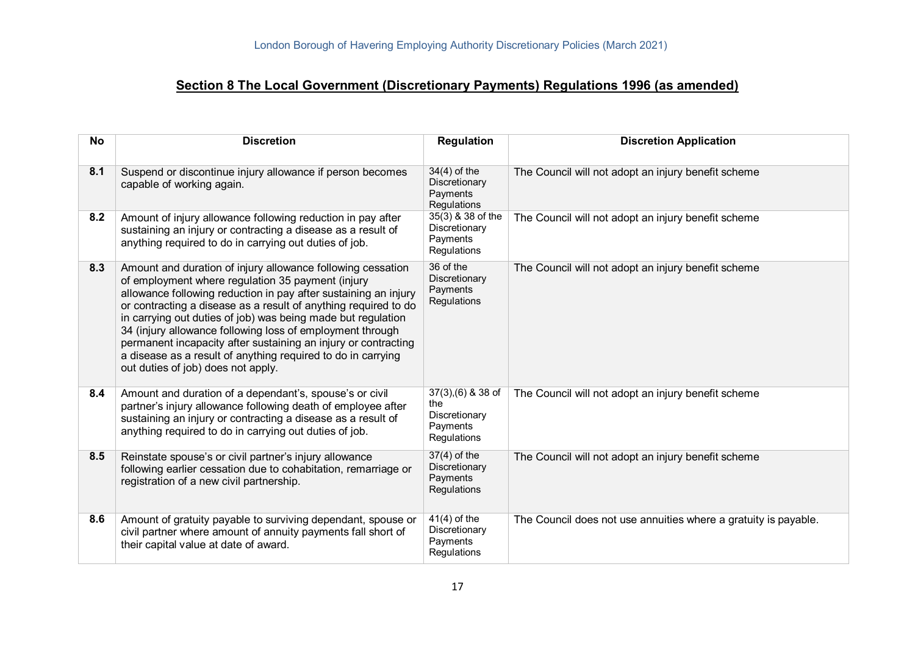# **Section 8 The Local Government (Discretionary Payments) Regulations 1996 (as amended)**

| <b>No</b> | <b>Discretion</b>                                                                                                                                                                                                                                                                                                                                                                                                                                                                                                                                           | <b>Regulation</b>                                                      | <b>Discretion Application</b>                                   |
|-----------|-------------------------------------------------------------------------------------------------------------------------------------------------------------------------------------------------------------------------------------------------------------------------------------------------------------------------------------------------------------------------------------------------------------------------------------------------------------------------------------------------------------------------------------------------------------|------------------------------------------------------------------------|-----------------------------------------------------------------|
| 8.1       | Suspend or discontinue injury allowance if person becomes<br>capable of working again.                                                                                                                                                                                                                                                                                                                                                                                                                                                                      | $34(4)$ of the<br>Discretionary<br>Payments<br>Regulations             | The Council will not adopt an injury benefit scheme             |
| 8.2       | Amount of injury allowance following reduction in pay after<br>sustaining an injury or contracting a disease as a result of<br>anything required to do in carrying out duties of job.                                                                                                                                                                                                                                                                                                                                                                       | 35(3) & 38 of the<br>Discretionary<br>Payments<br>Regulations          | The Council will not adopt an injury benefit scheme             |
| 8.3       | Amount and duration of injury allowance following cessation<br>of employment where regulation 35 payment (injury<br>allowance following reduction in pay after sustaining an injury<br>or contracting a disease as a result of anything required to do<br>in carrying out duties of job) was being made but regulation<br>34 (injury allowance following loss of employment through<br>permanent incapacity after sustaining an injury or contracting<br>a disease as a result of anything required to do in carrying<br>out duties of job) does not apply. | 36 of the<br>Discretionary<br>Payments<br>Regulations                  | The Council will not adopt an injury benefit scheme             |
| 8.4       | Amount and duration of a dependant's, spouse's or civil<br>partner's injury allowance following death of employee after<br>sustaining an injury or contracting a disease as a result of<br>anything required to do in carrying out duties of job.                                                                                                                                                                                                                                                                                                           | $37(3),(6)$ & 38 of<br>the<br>Discretionary<br>Payments<br>Regulations | The Council will not adopt an injury benefit scheme             |
| 8.5       | Reinstate spouse's or civil partner's injury allowance<br>following earlier cessation due to cohabitation, remarriage or<br>registration of a new civil partnership.                                                                                                                                                                                                                                                                                                                                                                                        | $37(4)$ of the<br>Discretionary<br>Payments<br>Regulations             | The Council will not adopt an injury benefit scheme             |
| 8.6       | Amount of gratuity payable to surviving dependant, spouse or<br>civil partner where amount of annuity payments fall short of<br>their capital value at date of award.                                                                                                                                                                                                                                                                                                                                                                                       | $41(4)$ of the<br>Discretionary<br>Payments<br>Regulations             | The Council does not use annuities where a gratuity is payable. |